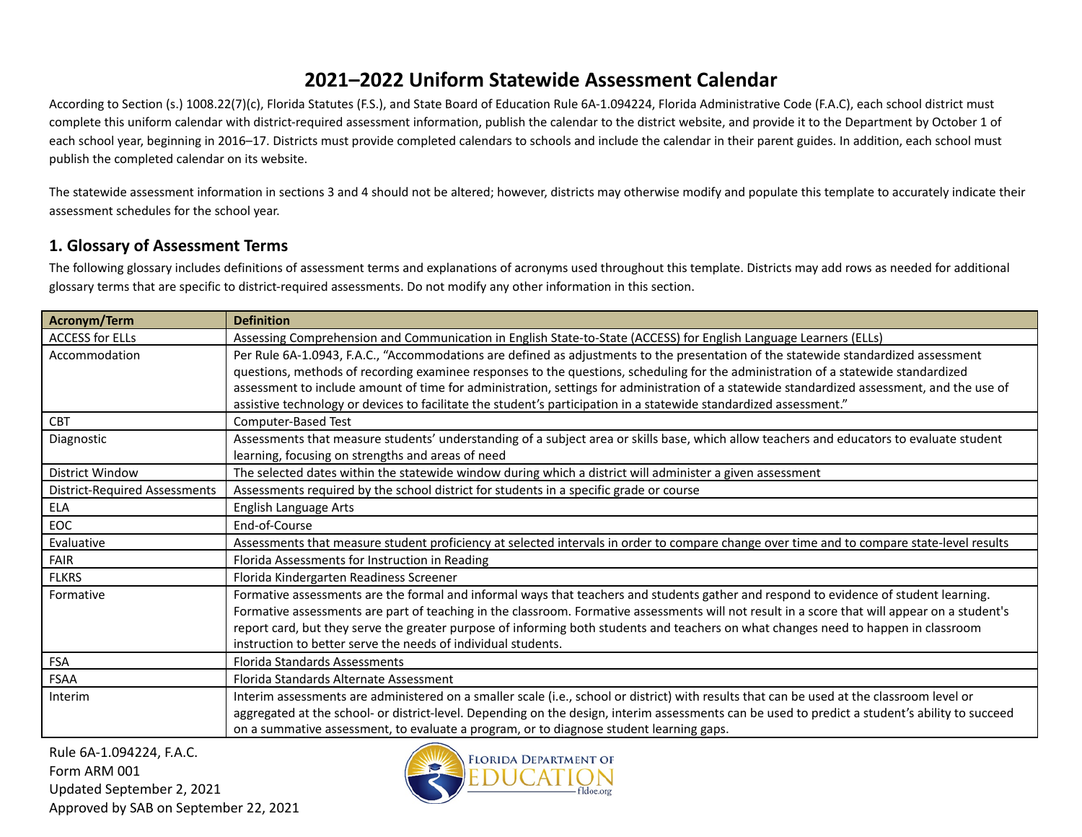According to Section (s.) 1008.22(7)(c), Florida Statutes (F.S.), and State Board of Education Rule 6A-1.094224, Florida Administrative Code (F.A.C), each school district must complete this uniform calendar with district-required assessment information, publish the calendar to the district website, and provide it to the Department by October 1 of each school year, beginning in 2016–17. Districts must provide completed calendars to schools and include the calendar in their parent guides. In addition, each school must publish the completed calendar on its website.

The statewide assessment information in sections 3 and 4 should not be altered; however, districts may otherwise modify and populate this template to accurately indicate their assessment schedules for the school year.

#### **1. Glossary of Assessment Terms**

The following glossary includes definitions of assessment terms and explanations of acronyms used throughout this template. Districts may add rows as needed for additional glossary terms that are specific to district-required assessments. Do not modify any other information in this section.

| Acronym/Term                         | <b>Definition</b>                                                                                                                               |
|--------------------------------------|-------------------------------------------------------------------------------------------------------------------------------------------------|
| <b>ACCESS for ELLs</b>               | Assessing Comprehension and Communication in English State-to-State (ACCESS) for English Language Learners (ELLs)                               |
| Accommodation                        | Per Rule 6A-1.0943, F.A.C., "Accommodations are defined as adjustments to the presentation of the statewide standardized assessment             |
|                                      | questions, methods of recording examinee responses to the questions, scheduling for the administration of a statewide standardized              |
|                                      | assessment to include amount of time for administration, settings for administration of a statewide standardized assessment, and the use of     |
|                                      | assistive technology or devices to facilitate the student's participation in a statewide standardized assessment."                              |
| <b>CBT</b>                           | Computer-Based Test                                                                                                                             |
| Diagnostic                           | Assessments that measure students' understanding of a subject area or skills base, which allow teachers and educators to evaluate student       |
|                                      | learning, focusing on strengths and areas of need                                                                                               |
| District Window                      | The selected dates within the statewide window during which a district will administer a given assessment                                       |
| <b>District-Required Assessments</b> | Assessments required by the school district for students in a specific grade or course                                                          |
| <b>ELA</b>                           | English Language Arts                                                                                                                           |
| EOC                                  | End-of-Course                                                                                                                                   |
| Evaluative                           | Assessments that measure student proficiency at selected intervals in order to compare change over time and to compare state-level results      |
| <b>FAIR</b>                          | Florida Assessments for Instruction in Reading                                                                                                  |
| <b>FLKRS</b>                         | Florida Kindergarten Readiness Screener                                                                                                         |
| Formative                            | Formative assessments are the formal and informal ways that teachers and students gather and respond to evidence of student learning.           |
|                                      | Formative assessments are part of teaching in the classroom. Formative assessments will not result in a score that will appear on a student's   |
|                                      | report card, but they serve the greater purpose of informing both students and teachers on what changes need to happen in classroom             |
|                                      | instruction to better serve the needs of individual students.                                                                                   |
| <b>FSA</b>                           | <b>Florida Standards Assessments</b>                                                                                                            |
| FSAA                                 | Florida Standards Alternate Assessment                                                                                                          |
| Interim                              | Interim assessments are administered on a smaller scale (i.e., school or district) with results that can be used at the classroom level or      |
|                                      | aggregated at the school- or district-level. Depending on the design, interim assessments can be used to predict a student's ability to succeed |
|                                      | on a summative assessment, to evaluate a program, or to diagnose student learning gaps.                                                         |

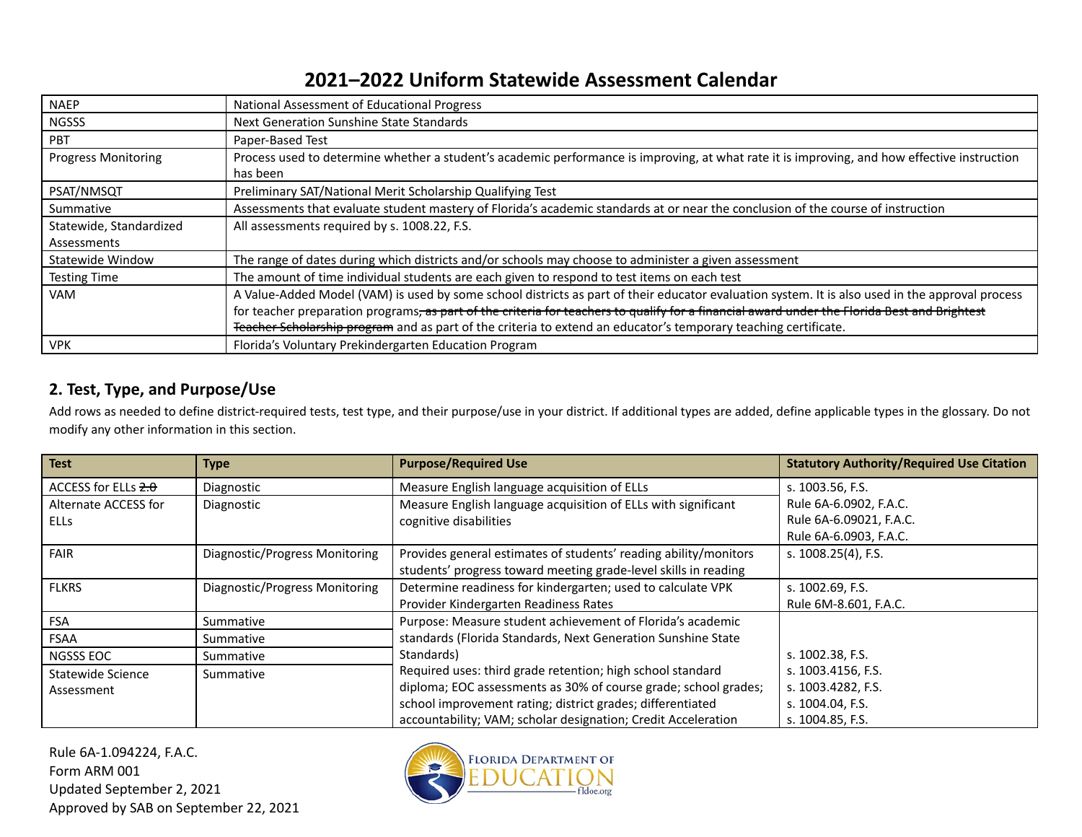| <b>NAEP</b>                | National Assessment of Educational Progress                                                                                                              |
|----------------------------|----------------------------------------------------------------------------------------------------------------------------------------------------------|
| <b>NGSSS</b>               | Next Generation Sunshine State Standards                                                                                                                 |
| <b>PBT</b>                 | Paper-Based Test                                                                                                                                         |
| <b>Progress Monitoring</b> | Process used to determine whether a student's academic performance is improving, at what rate it is improving, and how effective instruction<br>has been |
| PSAT/NMSQT                 | Preliminary SAT/National Merit Scholarship Qualifying Test                                                                                               |
| Summative                  | Assessments that evaluate student mastery of Florida's academic standards at or near the conclusion of the course of instruction                         |
| Statewide, Standardized    | All assessments required by s. 1008.22, F.S.                                                                                                             |
| Assessments                |                                                                                                                                                          |
| Statewide Window           | The range of dates during which districts and/or schools may choose to administer a given assessment                                                     |
| <b>Testing Time</b>        | The amount of time individual students are each given to respond to test items on each test                                                              |
| <b>VAM</b>                 | A Value-Added Model (VAM) is used by some school districts as part of their educator evaluation system. It is also used in the approval process          |
|                            | for teacher preparation programs, as part of the criteria for teachers to qualify for a financial award under the Florida Best and Brightest             |
|                            | Teacher Scholarship program and as part of the criteria to extend an educator's temporary teaching certificate.                                          |
| <b>VPK</b>                 | Florida's Voluntary Prekindergarten Education Program                                                                                                    |

#### **2. Test, Type, and Purpose/Use**

Add rows as needed to define district-required tests, test type, and their purpose/use in your district. If additional types are added, define applicable types in the glossary. Do not modify any other information in this section.

| <b>Test</b>           | Type                           | <b>Purpose/Required Use</b>                                      | <b>Statutory Authority/Required Use Citation</b> |
|-----------------------|--------------------------------|------------------------------------------------------------------|--------------------------------------------------|
| ACCESS for ELLs $2.0$ | Diagnostic                     | Measure English language acquisition of ELLs                     | s. 1003.56, F.S.                                 |
| Alternate ACCESS for  | Diagnostic                     | Measure English language acquisition of ELLs with significant    | Rule 6A-6.0902, F.A.C.                           |
| <b>ELLS</b>           |                                | cognitive disabilities                                           | Rule 6A-6.09021, F.A.C.                          |
|                       |                                |                                                                  | Rule 6A-6.0903, F.A.C.                           |
| <b>FAIR</b>           | Diagnostic/Progress Monitoring | Provides general estimates of students' reading ability/monitors | s. 1008.25(4), F.S.                              |
|                       |                                | students' progress toward meeting grade-level skills in reading  |                                                  |
| <b>FLKRS</b>          | Diagnostic/Progress Monitoring | Determine readiness for kindergarten; used to calculate VPK      | s. 1002.69, F.S.                                 |
|                       |                                | Provider Kindergarten Readiness Rates                            | Rule 6M-8.601, F.A.C.                            |
| FSA                   | Summative                      | Purpose: Measure student achievement of Florida's academic       |                                                  |
| <b>FSAA</b>           | Summative                      | standards (Florida Standards, Next Generation Sunshine State     |                                                  |
| NGSSS EOC             | Summative                      | Standards)                                                       | s. 1002.38, F.S.                                 |
| Statewide Science     | Summative                      | Required uses: third grade retention; high school standard       | s. 1003.4156, F.S.                               |
| Assessment            |                                | diploma; EOC assessments as 30% of course grade; school grades;  | s. 1003.4282, F.S.                               |
|                       |                                | school improvement rating; district grades; differentiated       | s. 1004.04, F.S.                                 |
|                       |                                | accountability; VAM; scholar designation; Credit Acceleration    | s. 1004.85, F.S.                                 |

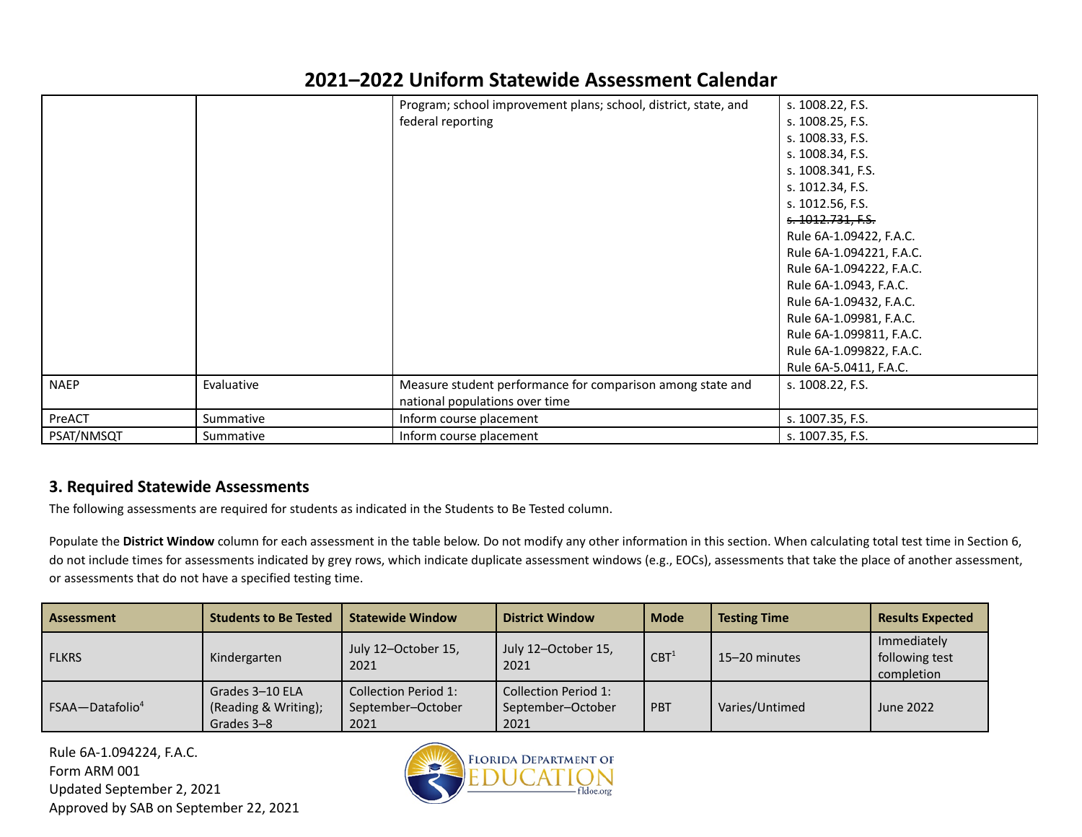|             |            | Program; school improvement plans; school, district, state, and | s. 1008.22, F.S.         |
|-------------|------------|-----------------------------------------------------------------|--------------------------|
|             |            | federal reporting                                               | s. 1008.25, F.S.         |
|             |            |                                                                 | s. 1008.33, F.S.         |
|             |            |                                                                 | s. 1008.34, F.S.         |
|             |            |                                                                 | s. 1008.341, F.S.        |
|             |            |                                                                 | s. 1012.34, F.S.         |
|             |            |                                                                 | s. 1012.56, F.S.         |
|             |            |                                                                 | s. 1012.731, F.S.        |
|             |            |                                                                 | Rule 6A-1.09422, F.A.C.  |
|             |            |                                                                 | Rule 6A-1.094221, F.A.C. |
|             |            |                                                                 | Rule 6A-1.094222, F.A.C. |
|             |            |                                                                 | Rule 6A-1.0943, F.A.C.   |
|             |            |                                                                 | Rule 6A-1.09432, F.A.C.  |
|             |            |                                                                 | Rule 6A-1.09981, F.A.C.  |
|             |            |                                                                 | Rule 6A-1.099811, F.A.C. |
|             |            |                                                                 | Rule 6A-1.099822, F.A.C. |
|             |            |                                                                 | Rule 6A-5.0411, F.A.C.   |
| <b>NAEP</b> | Evaluative | Measure student performance for comparison among state and      | s. 1008.22, F.S.         |
|             |            | national populations over time                                  |                          |
| PreACT      | Summative  | Inform course placement                                         | s. 1007.35, F.S.         |
| PSAT/NMSQT  | Summative  | Inform course placement                                         | s. 1007.35, F.S.         |

#### **3. Required Statewide Assessments**

The following assessments are required for students as indicated in the Students to Be Tested column.

Populate the **District Window** column for each assessment in the table below. Do not modify any other information in this section. When calculating total test time in Section 6, do not include times for assessments indicated by grey rows, which indicate duplicate assessment windows (e.g., EOCs), assessments that take the place of another assessment, or assessments that do not have a specified testing time.

| <b>Assessment</b>           | <b>Students to Be Tested</b>                          | <b>Statewide Window</b>                           | <b>District Window</b>                            | <b>Mode</b>      | <b>Testing Time</b> | <b>Results Expected</b>                     |
|-----------------------------|-------------------------------------------------------|---------------------------------------------------|---------------------------------------------------|------------------|---------------------|---------------------------------------------|
| <b>FLKRS</b>                | Kindergarten                                          | July 12-October 15,<br>2021                       | July 12-October 15,<br>2021                       | CBT <sup>1</sup> | 15-20 minutes       | Immediately<br>following test<br>completion |
| FSAA-Datafolio <sup>4</sup> | Grades 3-10 ELA<br>(Reading & Writing);<br>Grades 3-8 | Collection Period 1:<br>September-October<br>2021 | Collection Period 1:<br>September-October<br>2021 | PBT              | Varies/Untimed      | June 2022                                   |

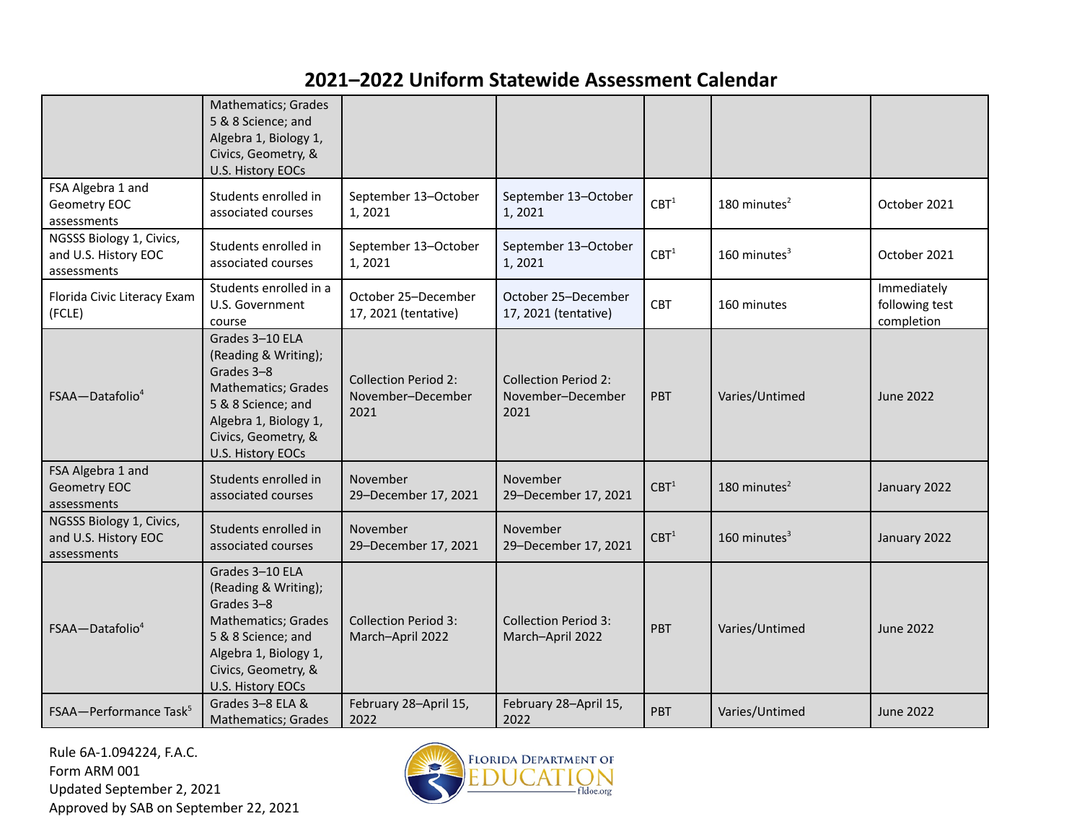|                                                                 | <b>Mathematics; Grades</b><br>5 & 8 Science; and<br>Algebra 1, Biology 1,<br>Civics, Geometry, &<br>U.S. History EOCs                                                   |                                                          |                                                          |                  |                 |                                             |
|-----------------------------------------------------------------|-------------------------------------------------------------------------------------------------------------------------------------------------------------------------|----------------------------------------------------------|----------------------------------------------------------|------------------|-----------------|---------------------------------------------|
| FSA Algebra 1 and<br>Geometry EOC<br>assessments                | Students enrolled in<br>associated courses                                                                                                                              | September 13-October<br>1, 2021                          | September 13-October<br>1,2021                           | CBT <sup>1</sup> | 180 minutes $2$ | October 2021                                |
| NGSSS Biology 1, Civics,<br>and U.S. History EOC<br>assessments | Students enrolled in<br>associated courses                                                                                                                              | September 13-October<br>1,2021                           | September 13-October<br>1,2021                           | CBT <sup>1</sup> | 160 minutes $3$ | October 2021                                |
| Florida Civic Literacy Exam<br>(FCLE)                           | Students enrolled in a<br>U.S. Government<br>course                                                                                                                     | October 25-December<br>17, 2021 (tentative)              | October 25-December<br>17, 2021 (tentative)              | CBT              | 160 minutes     | Immediately<br>following test<br>completion |
| $FSAA - Datafolio4$                                             | Grades 3-10 ELA<br>(Reading & Writing);<br>Grades 3-8<br>Mathematics; Grades<br>5 & 8 Science; and<br>Algebra 1, Biology 1,<br>Civics, Geometry, &<br>U.S. History EOCs | <b>Collection Period 2:</b><br>November-December<br>2021 | <b>Collection Period 2:</b><br>November-December<br>2021 | <b>PBT</b>       | Varies/Untimed  | June 2022                                   |
| FSA Algebra 1 and<br><b>Geometry EOC</b><br>assessments         | Students enrolled in<br>associated courses                                                                                                                              | November<br>29-December 17, 2021                         | November<br>29-December 17, 2021                         | CBT <sup>1</sup> | 180 minutes $2$ | January 2022                                |
| NGSSS Biology 1, Civics,<br>and U.S. History EOC<br>assessments | Students enrolled in<br>associated courses                                                                                                                              | November<br>29-December 17, 2021                         | November<br>29-December 17, 2021                         | CBT <sup>1</sup> | 160 minutes $3$ | January 2022                                |
| FSAA-Datafolio <sup>4</sup>                                     | Grades 3-10 ELA<br>(Reading & Writing);<br>Grades 3-8<br>Mathematics; Grades<br>5 & 8 Science; and<br>Algebra 1, Biology 1,<br>Civics, Geometry, &<br>U.S. History EOCs | <b>Collection Period 3:</b><br>March-April 2022          | <b>Collection Period 3:</b><br>March-April 2022          | PBT              | Varies/Untimed  | <b>June 2022</b>                            |
| FSAA-Performance Task <sup>5</sup>                              | Grades 3-8 ELA &<br>Mathematics; Grades                                                                                                                                 | February 28-April 15,<br>2022                            | February 28-April 15,<br>2022                            | PBT              | Varies/Untimed  | <b>June 2022</b>                            |

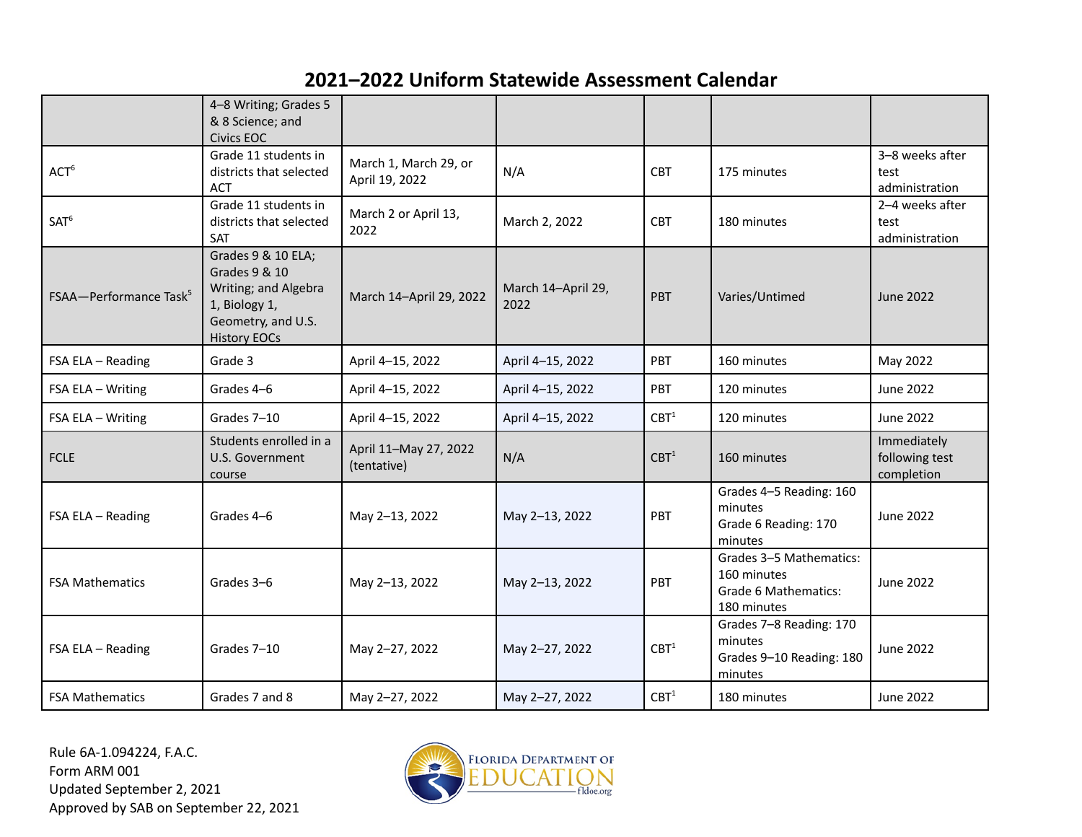|                                    | 4-8 Writing; Grades 5<br>& 8 Science; and<br><b>Civics EOC</b>                                                            |                                         |                            |                  |                                                                                      |                                             |
|------------------------------------|---------------------------------------------------------------------------------------------------------------------------|-----------------------------------------|----------------------------|------------------|--------------------------------------------------------------------------------------|---------------------------------------------|
| ACT <sup>6</sup>                   | Grade 11 students in<br>districts that selected<br>ACT                                                                    | March 1, March 29, or<br>April 19, 2022 | N/A                        | <b>CBT</b>       | 175 minutes                                                                          | 3-8 weeks after<br>test<br>administration   |
| SAT <sup>6</sup>                   | Grade 11 students in<br>districts that selected<br>SAT                                                                    | March 2 or April 13,<br>2022            | March 2, 2022              | <b>CBT</b>       | 180 minutes                                                                          | 2-4 weeks after<br>test<br>administration   |
| FSAA-Performance Task <sup>5</sup> | Grades 9 & 10 ELA;<br>Grades 9 & 10<br>Writing; and Algebra<br>1, Biology 1,<br>Geometry, and U.S.<br><b>History EOCs</b> | March 14-April 29, 2022                 | March 14-April 29,<br>2022 | <b>PBT</b>       | Varies/Untimed                                                                       | <b>June 2022</b>                            |
| FSA ELA - Reading                  | Grade 3                                                                                                                   | April 4-15, 2022                        | April 4-15, 2022           | PBT              | 160 minutes                                                                          | May 2022                                    |
| FSA ELA - Writing                  | Grades 4-6                                                                                                                | April 4-15, 2022                        | April 4-15, 2022           | PBT              | 120 minutes                                                                          | June 2022                                   |
| FSA ELA - Writing                  | Grades 7-10                                                                                                               | April 4-15, 2022                        | April 4-15, 2022           | CBT <sup>1</sup> | 120 minutes                                                                          | <b>June 2022</b>                            |
| <b>FCLE</b>                        | Students enrolled in a<br>U.S. Government<br>course                                                                       | April 11-May 27, 2022<br>(tentative)    | N/A                        | CBT <sup>1</sup> | 160 minutes                                                                          | Immediately<br>following test<br>completion |
| FSA ELA - Reading                  | Grades 4-6                                                                                                                | May 2-13, 2022                          | May 2-13, 2022             | PBT              | Grades 4-5 Reading: 160<br>minutes<br>Grade 6 Reading: 170<br>minutes                | <b>June 2022</b>                            |
| <b>FSA Mathematics</b>             | Grades 3-6                                                                                                                | May 2-13, 2022                          | May 2-13, 2022             | PBT              | Grades 3-5 Mathematics:<br>160 minutes<br><b>Grade 6 Mathematics:</b><br>180 minutes | <b>June 2022</b>                            |
| FSA ELA - Reading                  | Grades 7-10                                                                                                               | May 2-27, 2022                          | May 2-27, 2022             | CBT <sup>1</sup> | Grades 7-8 Reading: 170<br>minutes<br>Grades 9-10 Reading: 180<br>minutes            | <b>June 2022</b>                            |
| <b>FSA Mathematics</b>             | Grades 7 and 8                                                                                                            | May 2-27, 2022                          | May 2-27, 2022             | CBT <sup>1</sup> | 180 minutes                                                                          | <b>June 2022</b>                            |

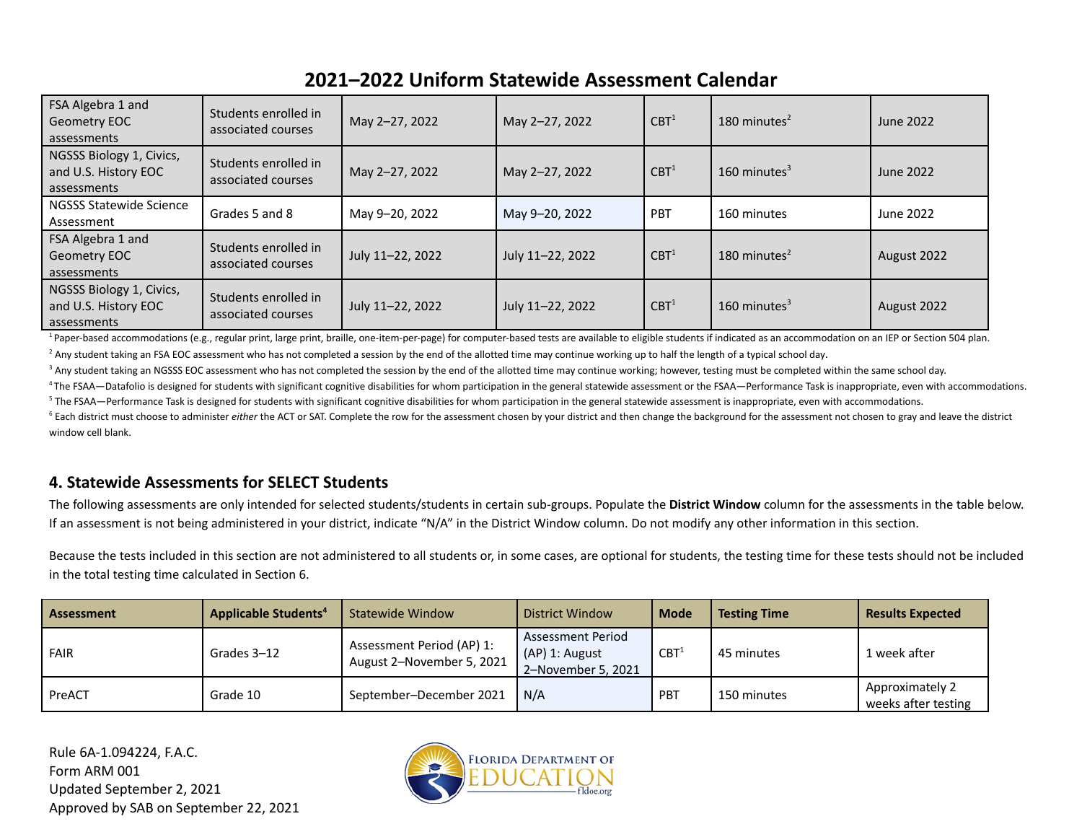| FSA Algebra 1 and<br>Geometry EOC<br>assessments                | Students enrolled in<br>associated courses | May 2-27, 2022   | May 2-27, 2022   | CBT <sup>1</sup> | 180 minutes $2$ | June 2022   |
|-----------------------------------------------------------------|--------------------------------------------|------------------|------------------|------------------|-----------------|-------------|
| NGSSS Biology 1, Civics,<br>and U.S. History EOC<br>assessments | Students enrolled in<br>associated courses | May 2-27, 2022   | May 2-27, 2022   | CBT <sup>1</sup> | 160 minutes $3$ | June 2022   |
| <b>NGSSS Statewide Science</b><br>Assessment                    | Grades 5 and 8                             | May 9-20, 2022   | May 9-20, 2022   | <b>PBT</b>       | 160 minutes     | June 2022   |
| FSA Algebra 1 and<br>Geometry EOC<br>assessments                | Students enrolled in<br>associated courses | July 11-22, 2022 | July 11-22, 2022 | CBT <sup>1</sup> | 180 minutes $2$ | August 2022 |
| NGSSS Biology 1, Civics,<br>and U.S. History EOC<br>assessments | Students enrolled in<br>associated courses | July 11-22, 2022 | July 11-22, 2022 | CBT <sup>1</sup> | 160 minutes $3$ | August 2022 |

<sup>1</sup> Paper-based accommodations (e.g., regular print, large print, braille, one-item-per-page) for computer-based tests are available to eligible students if indicated as an accommodation on an IEP or Section 504 plan.

<sup>2</sup> Any student taking an FSA EOC assessment who has not completed a session by the end of the allotted time may continue working up to half the length of a typical school day.

<sup>3</sup> Any student taking an NGSSS EOC assessment who has not completed the session by the end of the allotted time may continue working; however, testing must be completed within the same school day.

<sup>4</sup> The FSAA—Datafolio is designed for students with significant cognitive disabilities for whom participation in the general statewide assessment or the FSAA—Performance Task is inappropriate, even with accommodations. <sup>5</sup> The FSAA—Performance Task is designed for students with significant cognitive disabilities for whom participation in the general statewide assessment is inappropriate, even with accommodations.

<sup>6</sup> Each district must choose to administer *either* the ACT or SAT. Complete the row for the assessment chosen by your district and then change the background for the assessment not chosen to gray and leave the district window cell blank.

#### **4. Statewide Assessments for SELECT Students**

The following assessments are only intended for selected students/students in certain sub-groups. Populate the **District Window** column for the assessments in the table below. If an assessment is not being administered in your district, indicate "N/A" in the District Window column. Do not modify any other information in this section.

Because the tests included in this section are not administered to all students or, in some cases, are optional for students, the testing time for these tests should not be included in the total testing time calculated in Section 6.

| Assessment  | <b>Applicable Students<sup>4</sup></b> | Statewide Window                                       | District Window                                           | <b>Mode</b>      | <b>Testing Time</b> | <b>Results Expected</b>                |
|-------------|----------------------------------------|--------------------------------------------------------|-----------------------------------------------------------|------------------|---------------------|----------------------------------------|
| <b>FAIR</b> | Grades 3-12                            | Assessment Period (AP) 1:<br>August 2-November 5, 2021 | Assessment Period<br>(AP) 1: August<br>2-November 5, 2021 | CBT <sup>1</sup> | 45 minutes          | 1 week after                           |
| PreACT      | Grade 10                               | September-December 2021                                | N/A                                                       | PBT              | 150 minutes         | Approximately 2<br>weeks after testing |

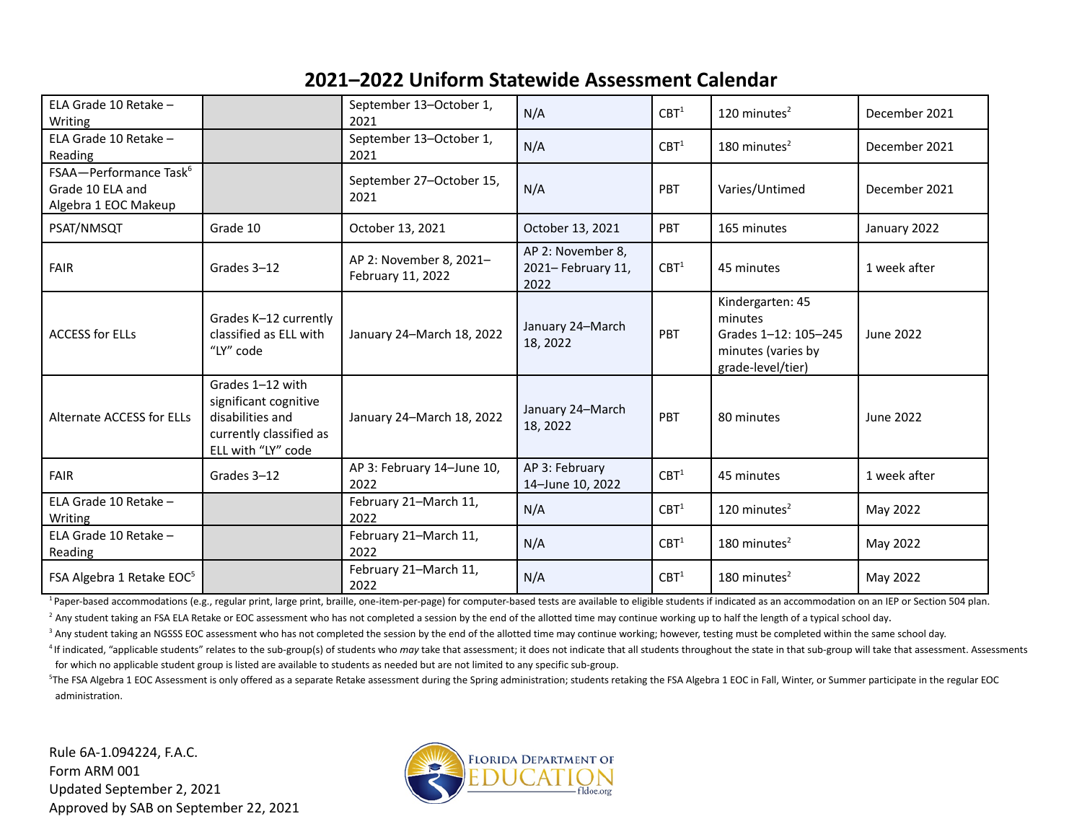| ELA Grade 10 Retake -<br>Writing                                               |                                                                                                                | September 13-October 1,<br>N/A<br>2021       |                                                 | CBT <sup>1</sup> | 120 minutes $2$                                                                                | December 2021 |
|--------------------------------------------------------------------------------|----------------------------------------------------------------------------------------------------------------|----------------------------------------------|-------------------------------------------------|------------------|------------------------------------------------------------------------------------------------|---------------|
| ELA Grade 10 Retake -<br>Reading                                               |                                                                                                                | September 13-October 1,<br>2021              | N/A                                             | CBT <sup>1</sup> | 180 minutes <sup>2</sup>                                                                       | December 2021 |
| FSAA-Performance Task <sup>6</sup><br>Grade 10 ELA and<br>Algebra 1 EOC Makeup |                                                                                                                | September 27-October 15,<br>2021             | N/A                                             | PBT              | Varies/Untimed                                                                                 | December 2021 |
| PSAT/NMSQT                                                                     | Grade 10                                                                                                       | October 13, 2021                             | October 13, 2021                                | PBT              | 165 minutes                                                                                    | January 2022  |
| <b>FAIR</b>                                                                    | Grades 3-12                                                                                                    | AP 2: November 8, 2021-<br>February 11, 2022 | AP 2: November 8,<br>2021- February 11,<br>2022 | CBT <sup>1</sup> | 45 minutes                                                                                     | 1 week after  |
| <b>ACCESS for ELLs</b>                                                         | Grades K-12 currently<br>classified as ELL with<br>"LY" code                                                   | January 24-March 18, 2022                    | January 24-March<br>18, 2022                    | PBT              | Kindergarten: 45<br>minutes<br>Grades 1-12: 105-245<br>minutes (varies by<br>grade-level/tier) | June 2022     |
| Alternate ACCESS for ELLs                                                      | Grades 1-12 with<br>significant cognitive<br>disabilities and<br>currently classified as<br>ELL with "LY" code | January 24-March 18, 2022                    | January 24-March<br>18, 2022                    | PBT              | 80 minutes                                                                                     | June 2022     |
| <b>FAIR</b>                                                                    | Grades 3-12                                                                                                    | AP 3: February 14-June 10,<br>2022           | AP 3: February<br>14-June 10, 2022              | CBT <sup>1</sup> | 45 minutes                                                                                     | 1 week after  |
| ELA Grade 10 Retake -<br>Writing                                               |                                                                                                                | February 21-March 11,<br>2022                | N/A                                             | CBT <sup>1</sup> | 120 minutes $2$                                                                                | May 2022      |
| ELA Grade 10 Retake -<br>Reading                                               |                                                                                                                | February 21-March 11,<br>2022                | N/A                                             | CBT <sup>1</sup> | 180 minutes $2$                                                                                | May 2022      |
| FSA Algebra 1 Retake EOC <sup>5</sup>                                          |                                                                                                                | February 21-March 11,<br>2022                | N/A                                             | CBT <sup>1</sup> | 180 minutes $2$                                                                                | May 2022      |

<sup>1</sup> Paper-based accommodations (e.g., regular print, large print, braille, one-item-per-page) for computer-based tests are available to eligible students if indicated as an accommodation on an IEP or Section 504 plan.

<sup>2</sup> Any student taking an FSA ELA Retake or EOC assessment who has not completed a session by the end of the allotted time may continue working up to half the length of a typical school day.

<sup>3</sup> Any student taking an NGSSS EOC assessment who has not completed the session by the end of the allotted time may continue working; however, testing must be completed within the same school day.

<sup>4</sup> If indicated, "applicable students" relates to the sub-group(s) of students who may take that assessment; it does not indicate that all students throughout the state in that sub-group will take that assessment. Assessm for which no applicable student group is listed are available to students as needed but are not limited to any specific sub-group.

<sup>5</sup>The FSA Algebra 1 EOC Assessment is only offered as a separate Retake assessment during the Spring administration; students retaking the FSA Algebra 1 EOC in Fall, Winter, or Summer participate in the regular EOC administration.

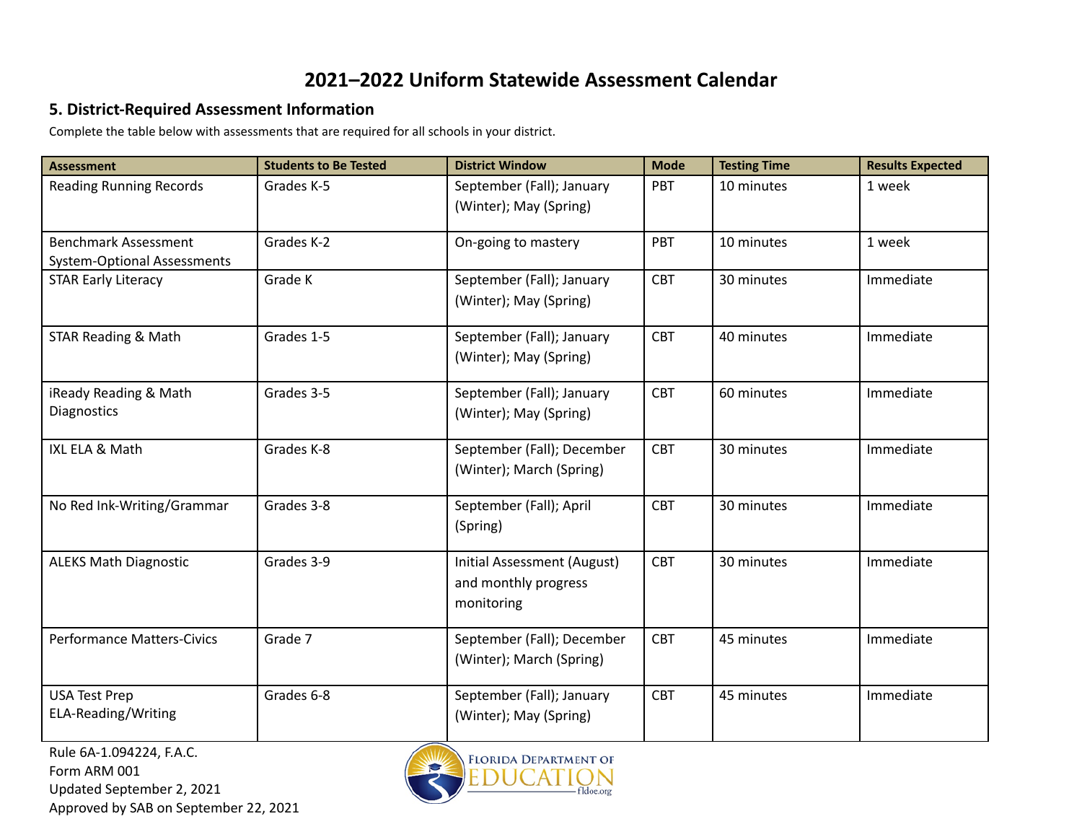#### **5. District-Required Assessment Information**

Complete the table below with assessments that are required for all schools in your district.

| <b>Assessment</b>                  | <b>Students to Be Tested</b> | <b>District Window</b>                              | <b>Mode</b> | <b>Testing Time</b> | <b>Results Expected</b> |
|------------------------------------|------------------------------|-----------------------------------------------------|-------------|---------------------|-------------------------|
| <b>Reading Running Records</b>     | Grades K-5                   | September (Fall); January<br>(Winter); May (Spring) | PBT         | 10 minutes          | 1 week                  |
|                                    |                              |                                                     |             |                     |                         |
| <b>Benchmark Assessment</b>        | Grades K-2                   | On-going to mastery                                 | PBT         | 10 minutes          | 1 week                  |
| <b>System-Optional Assessments</b> |                              |                                                     | <b>CBT</b>  |                     |                         |
| <b>STAR Early Literacy</b>         | Grade K                      | September (Fall); January                           |             | 30 minutes          | Immediate               |
|                                    |                              | (Winter); May (Spring)                              |             |                     |                         |
| <b>STAR Reading &amp; Math</b>     | Grades 1-5                   | September (Fall); January                           | <b>CBT</b>  | 40 minutes          | Immediate               |
|                                    |                              | (Winter); May (Spring)                              |             |                     |                         |
| iReady Reading & Math              | Grades 3-5                   | September (Fall); January                           | <b>CBT</b>  | 60 minutes          | Immediate               |
| <b>Diagnostics</b>                 |                              | (Winter); May (Spring)                              |             |                     |                         |
| IXL ELA & Math                     | Grades K-8                   | September (Fall); December                          | <b>CBT</b>  | 30 minutes          | Immediate               |
|                                    |                              | (Winter); March (Spring)                            |             |                     |                         |
| No Red Ink-Writing/Grammar         | Grades 3-8                   | September (Fall); April                             | <b>CBT</b>  | 30 minutes          | Immediate               |
|                                    |                              | (Spring)                                            |             |                     |                         |
| <b>ALEKS Math Diagnostic</b>       | Grades 3-9                   | Initial Assessment (August)                         | <b>CBT</b>  | 30 minutes          | Immediate               |
|                                    |                              | and monthly progress                                |             |                     |                         |
|                                    |                              | monitoring                                          |             |                     |                         |
| <b>Performance Matters-Civics</b>  | Grade 7                      | September (Fall); December                          | <b>CBT</b>  | 45 minutes          | Immediate               |
|                                    |                              | (Winter); March (Spring)                            |             |                     |                         |
| <b>USA Test Prep</b>               | Grades 6-8                   | September (Fall); January                           | <b>CBT</b>  | 45 minutes          | Immediate               |
| ELA-Reading/Writing                |                              | (Winter); May (Spring)                              |             |                     |                         |

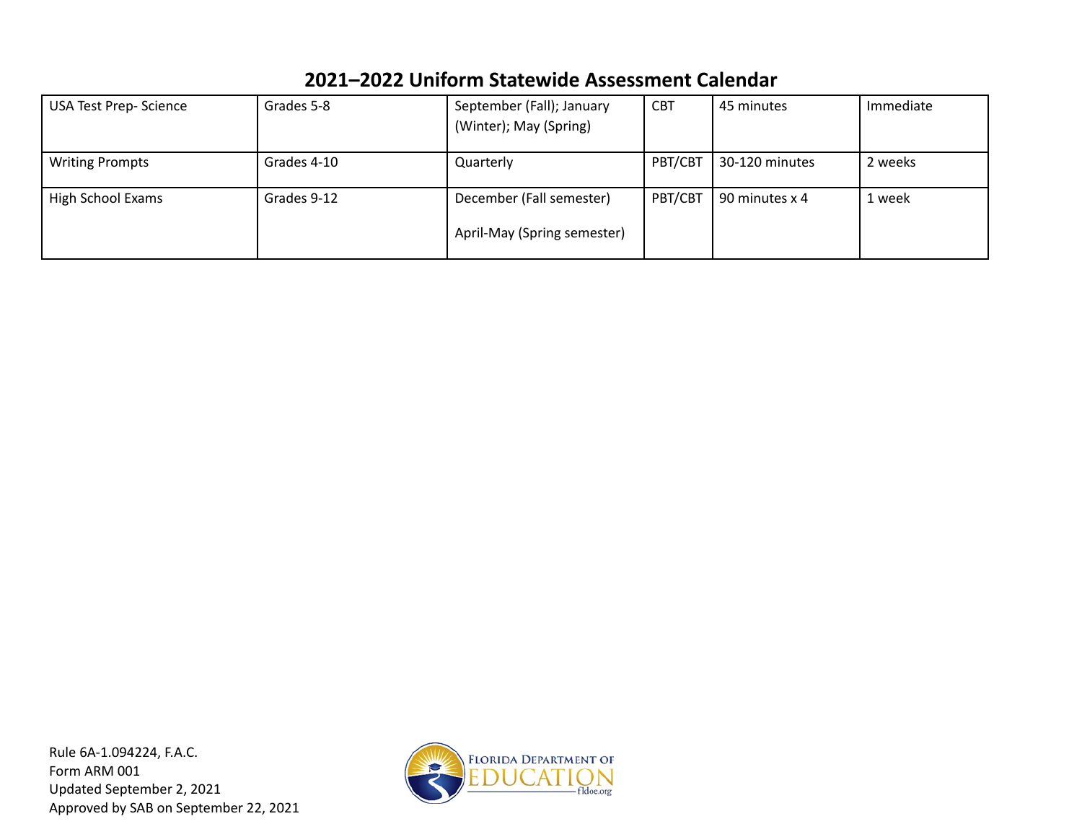| Grades 5-8  | September (Fall); January | <b>CBT</b>                               | 45 minutes     | Immediate      |
|-------------|---------------------------|------------------------------------------|----------------|----------------|
|             | (Winter); May (Spring)    |                                          |                |                |
| Grades 4-10 |                           |                                          |                | 2 weeks        |
|             |                           |                                          |                |                |
| Grades 9-12 | December (Fall semester)  | PBT/CBT                                  | 90 minutes x 4 | 1 week         |
|             |                           |                                          |                |                |
|             |                           |                                          |                |                |
|             |                           | Quarterly<br>April-May (Spring semester) | PBT/CBT        | 30-120 minutes |

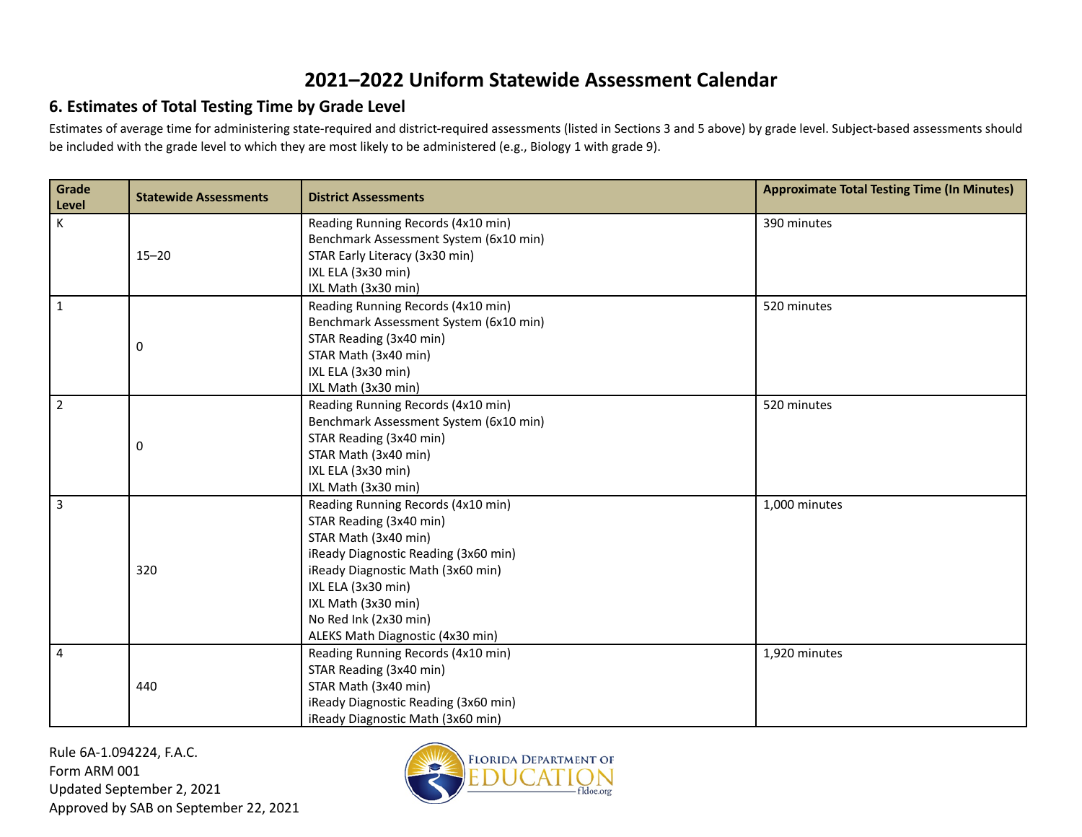#### **6. Estimates of Total Testing Time by Grade Level**

Estimates of average time for administering state-required and district-required assessments (listed in Sections 3 and 5 above) by grade level. Subject-based assessments should be included with the grade level to which they are most likely to be administered (e.g., Biology 1 with grade 9).

| Grade<br>Level | <b>Statewide Assessments</b> | <b>District Assessments</b>            | <b>Approximate Total Testing Time (In Minutes)</b> |
|----------------|------------------------------|----------------------------------------|----------------------------------------------------|
| K.             | $15 - 20$                    | Reading Running Records (4x10 min)     | 390 minutes                                        |
|                |                              | Benchmark Assessment System (6x10 min) |                                                    |
|                |                              | STAR Early Literacy (3x30 min)         |                                                    |
|                |                              | IXL ELA (3x30 min)                     |                                                    |
|                |                              | IXL Math (3x30 min)                    |                                                    |
| $\mathbf{1}$   |                              | Reading Running Records (4x10 min)     | 520 minutes                                        |
|                |                              | Benchmark Assessment System (6x10 min) |                                                    |
|                | 0                            | STAR Reading (3x40 min)                |                                                    |
|                |                              | STAR Math (3x40 min)                   |                                                    |
|                |                              | IXL ELA (3x30 min)                     |                                                    |
|                |                              | IXL Math (3x30 min)                    |                                                    |
| $\overline{2}$ |                              | Reading Running Records (4x10 min)     | 520 minutes                                        |
|                |                              | Benchmark Assessment System (6x10 min) |                                                    |
|                | 0                            | STAR Reading (3x40 min)                |                                                    |
|                |                              | STAR Math (3x40 min)                   |                                                    |
|                |                              | IXL ELA (3x30 min)                     |                                                    |
|                |                              | IXL Math (3x30 min)                    |                                                    |
| 3              |                              | Reading Running Records (4x10 min)     | 1,000 minutes                                      |
|                |                              | STAR Reading (3x40 min)                |                                                    |
|                |                              | STAR Math (3x40 min)                   |                                                    |
|                |                              | iReady Diagnostic Reading (3x60 min)   |                                                    |
|                | 320                          | iReady Diagnostic Math (3x60 min)      |                                                    |
|                |                              | IXL ELA (3x30 min)                     |                                                    |
|                |                              | IXL Math (3x30 min)                    |                                                    |
|                |                              | No Red Ink (2x30 min)                  |                                                    |
|                |                              | ALEKS Math Diagnostic (4x30 min)       |                                                    |
| 4              |                              | Reading Running Records (4x10 min)     | 1,920 minutes                                      |
|                |                              | STAR Reading (3x40 min)                |                                                    |
|                | 440                          | STAR Math (3x40 min)                   |                                                    |
|                |                              | iReady Diagnostic Reading (3x60 min)   |                                                    |
|                |                              | iReady Diagnostic Math (3x60 min)      |                                                    |

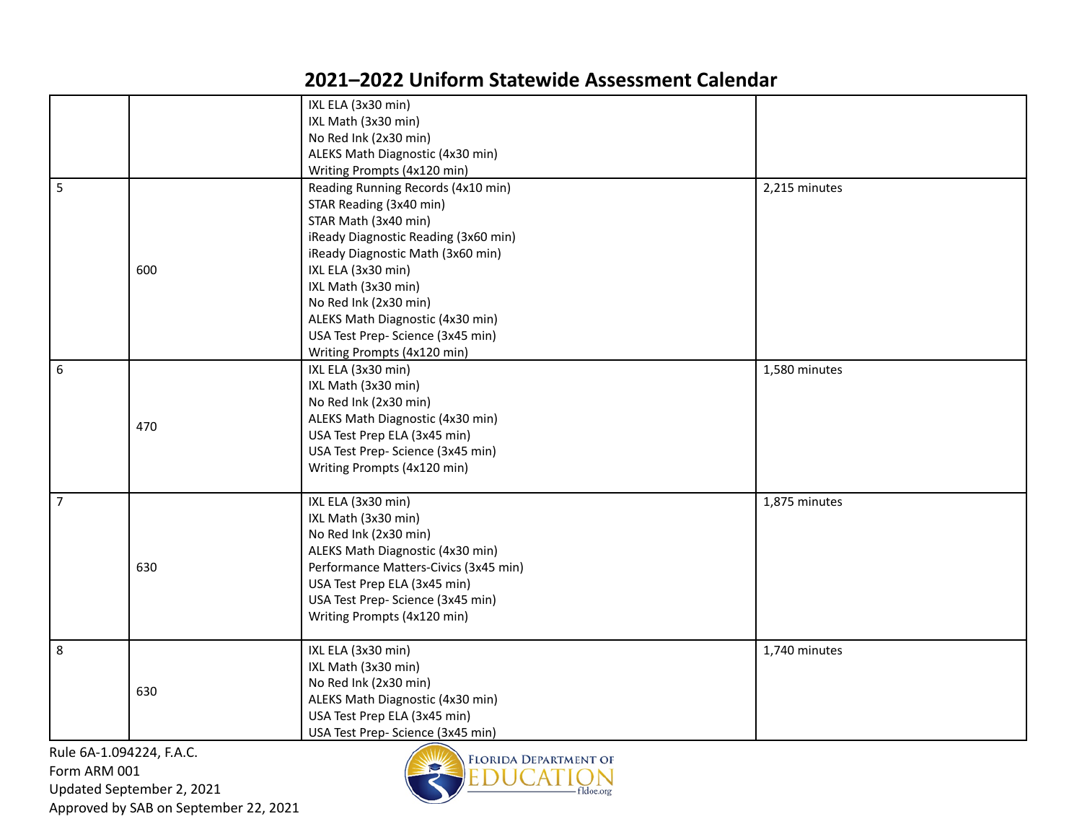|                |     | IXL ELA (3x30 min)                    |               |
|----------------|-----|---------------------------------------|---------------|
|                |     | IXL Math (3x30 min)                   |               |
|                |     | No Red Ink (2x30 min)                 |               |
|                |     | ALEKS Math Diagnostic (4x30 min)      |               |
|                |     | Writing Prompts (4x120 min)           |               |
| $\overline{5}$ |     | Reading Running Records (4x10 min)    | 2,215 minutes |
|                |     | STAR Reading (3x40 min)               |               |
|                |     | STAR Math (3x40 min)                  |               |
|                | 600 | iReady Diagnostic Reading (3x60 min)  |               |
|                |     | iReady Diagnostic Math (3x60 min)     |               |
|                |     | IXL ELA (3x30 min)                    |               |
|                |     | IXL Math (3x30 min)                   |               |
|                |     | No Red Ink (2x30 min)                 |               |
|                |     | ALEKS Math Diagnostic (4x30 min)      |               |
|                |     | USA Test Prep- Science (3x45 min)     |               |
|                |     | Writing Prompts (4x120 min)           |               |
| 6              | 470 | IXL ELA (3x30 min)                    | 1,580 minutes |
|                |     | IXL Math (3x30 min)                   |               |
|                |     | No Red Ink (2x30 min)                 |               |
|                |     | ALEKS Math Diagnostic (4x30 min)      |               |
|                |     | USA Test Prep ELA (3x45 min)          |               |
|                |     | USA Test Prep- Science (3x45 min)     |               |
|                |     | Writing Prompts (4x120 min)           |               |
|                |     |                                       |               |
| $\overline{7}$ |     | IXL ELA (3x30 min)                    | 1,875 minutes |
|                |     | IXL Math (3x30 min)                   |               |
|                |     | No Red Ink (2x30 min)                 |               |
|                |     | ALEKS Math Diagnostic (4x30 min)      |               |
|                | 630 | Performance Matters-Civics (3x45 min) |               |
|                |     | USA Test Prep ELA (3x45 min)          |               |
|                |     | USA Test Prep- Science (3x45 min)     |               |
|                |     |                                       |               |
|                |     | Writing Prompts (4x120 min)           |               |
| 8              |     | IXL ELA (3x30 min)                    | 1,740 minutes |
|                | 630 | IXL Math (3x30 min)                   |               |
|                |     | No Red Ink (2x30 min)                 |               |
|                |     | ALEKS Math Diagnostic (4x30 min)      |               |
|                |     | USA Test Prep ELA (3x45 min)          |               |
|                |     |                                       |               |
|                |     | USA Test Prep- Science (3x45 min)     |               |